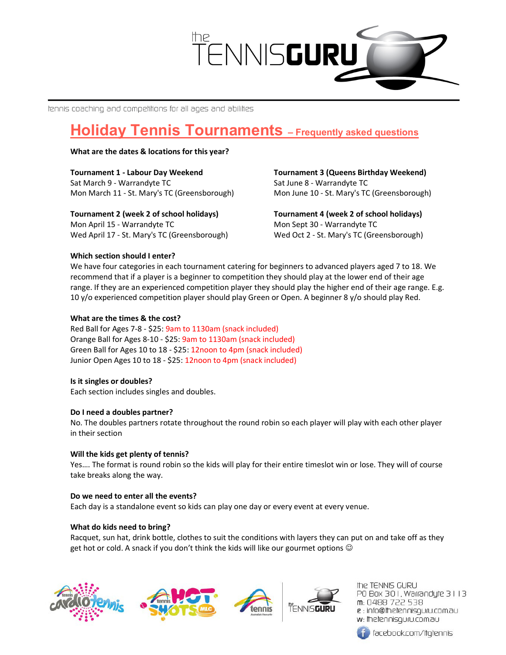

tennis coaching and competitions for all ages and abilities

# **Holiday Tennis Tournaments** - Frequently asked questions

## What are the dates & locations for this year?

Tournament 1 - Labour Day Weekend Sat March 9 - Warrandyte TC Mon March 11 - St. Mary's TC (Greensborough)

Tournament 2 (week 2 of school holidays) Mon April 15 - Warrandyte TC Wed April 17 - St. Mary's TC (Greensborough) Tournament 3 (Queens Birthday Weekend) Sat June 8 - Warrandyte TC Mon June 10 - St. Mary's TC (Greensborough)

Tournament 4 (week 2 of school holidays) Mon Sept 30 - Warrandyte TC Wed Oct 2 - St. Mary's TC (Greensborough)

# Which section should I enter?

We have four categories in each tournament catering for beginners to advanced players aged 7 to 18. We recommend that if a player is a beginner to competition they should play at the lower end of their age range. If they are an experienced competition player they should play the higher end of their age range. E.g. 10 y/o experienced competition player should play Green or Open. A beginner 8 y/o should play Red.

# What are the times & the cost?

Red Ball for Ages 7-8 - \$25: 9am to 1130am (snack included) Orange Ball for Ages 8-10 - \$25: 9am to 1130am (snack included) Green Ball for Ages 10 to 18 - \$25: 12noon to 4pm (snack included) Junior Open Ages 10 to 18 - \$25: 12noon to 4pm (snack included)

## Is it singles or doubles?

Each section includes singles and doubles.

## Do I need a doubles partner?

No. The doubles partners rotate throughout the round robin so each player will play with each other player in their section

## Will the kids get plenty of tennis?

Yes…. The format is round robin so the kids will play for their entire timeslot win or lose. They will of course take breaks along the way.

## Do we need to enter all the events?

Each day is a standalone event so kids can play one day or every event at every venue.

## What do kids need to bring?

Racquet, sun hat, drink bottle, clothes to suit the conditions with layers they can put on and take off as they get hot or cold. A snack if you don't think the kids will like our gourmet options  $\odot$ 









the TENNIS GURU PO Box 301, Warrandyle 3113 m: 0488 722 538 e : info@thetennisquru.com.au w: Ihelennisquru.com.au